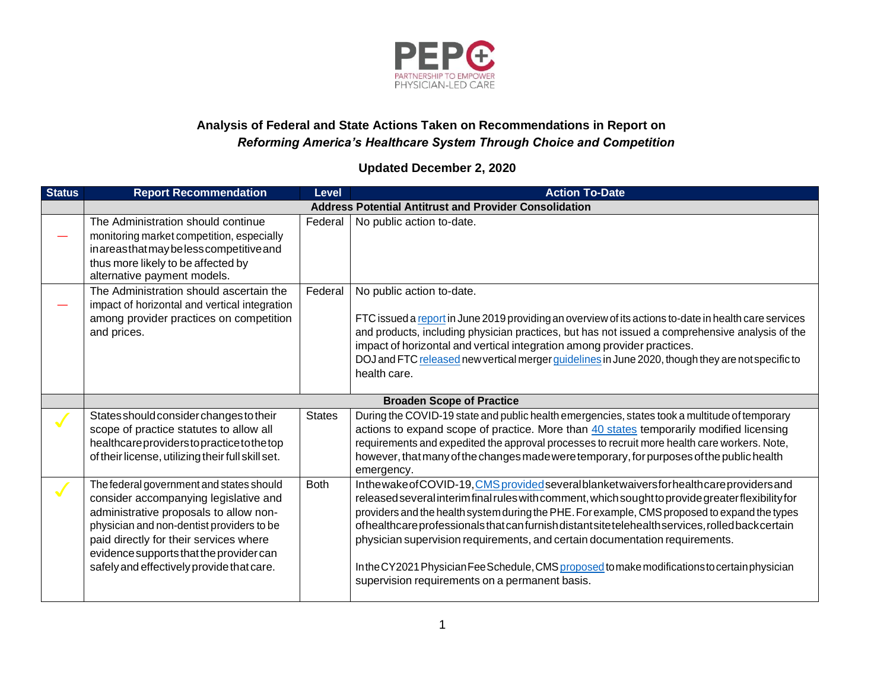

## **Analysis of Federal and State Actions Taken on Recommendations in Report on** *Reforming America's Healthcare System Through Choice and Competition*

## **Updated December 2, 2020**

| <b>Status</b> | <b>Report Recommendation</b>                                                                                                                                                                                                                                                                               | Level         | <b>Action To-Date</b>                                                                                                                                                                                                                                                                                                                                                                                                                                                                                                                                                                                                                   |
|---------------|------------------------------------------------------------------------------------------------------------------------------------------------------------------------------------------------------------------------------------------------------------------------------------------------------------|---------------|-----------------------------------------------------------------------------------------------------------------------------------------------------------------------------------------------------------------------------------------------------------------------------------------------------------------------------------------------------------------------------------------------------------------------------------------------------------------------------------------------------------------------------------------------------------------------------------------------------------------------------------------|
|               |                                                                                                                                                                                                                                                                                                            |               | <b>Address Potential Antitrust and Provider Consolidation</b>                                                                                                                                                                                                                                                                                                                                                                                                                                                                                                                                                                           |
|               | The Administration should continue<br>monitoring market competition, especially<br>inareasthat may be less competitive and<br>thus more likely to be affected by<br>alternative payment models.                                                                                                            | Federal       | No public action to-date.                                                                                                                                                                                                                                                                                                                                                                                                                                                                                                                                                                                                               |
|               | The Administration should ascertain the<br>impact of horizontal and vertical integration<br>among provider practices on competition<br>and prices.                                                                                                                                                         | Federal       | No public action to-date.<br>FTC issued a report in June 2019 providing an overview of its actions to-date in health care services<br>and products, including physician practices, but has not issued a comprehensive analysis of the<br>impact of horizontal and vertical integration among provider practices.<br>DOJ and FTC released new vertical merger guidelines in June 2020, though they are not specific to<br>health care.                                                                                                                                                                                                   |
|               |                                                                                                                                                                                                                                                                                                            |               | <b>Broaden Scope of Practice</b>                                                                                                                                                                                                                                                                                                                                                                                                                                                                                                                                                                                                        |
|               | States should consider changes to their<br>scope of practice statutes to allow all<br>healthcareproviderstopracticetothetop<br>of their license, utilizing their full skill set.                                                                                                                           | <b>States</b> | During the COVID-19 state and public health emergencies, states took a multitude of temporary<br>actions to expand scope of practice. More than 40 states temporarily modified licensing<br>requirements and expedited the approval processes to recruit more health care workers. Note,<br>however, that many of the changes made were temporary, for purposes of the public health<br>emergency.                                                                                                                                                                                                                                      |
|               | The federal government and states should<br>consider accompanying legislative and<br>administrative proposals to allow non-<br>physician and non-dentist providers to be<br>paid directly for their services where<br>evidence supports that the provider can<br>safely and effectively provide that care. | <b>Both</b>   | Inthewake of COVID-19, CMS provided several blanket waivers for health care providers and<br>released several interim final rules with comment, which sought to provide greater flexibility for<br>providers and the health system during the PHE. For example, CMS proposed to expand the types<br>ofhealthcare professionals that can furnish distant site telehealth services, rolled back certain<br>physician supervision requirements, and certain documentation requirements.<br>In the CY2021 Physician Fee Schedule, CMS proposed to make modifications to certain physician<br>supervision requirements on a permanent basis. |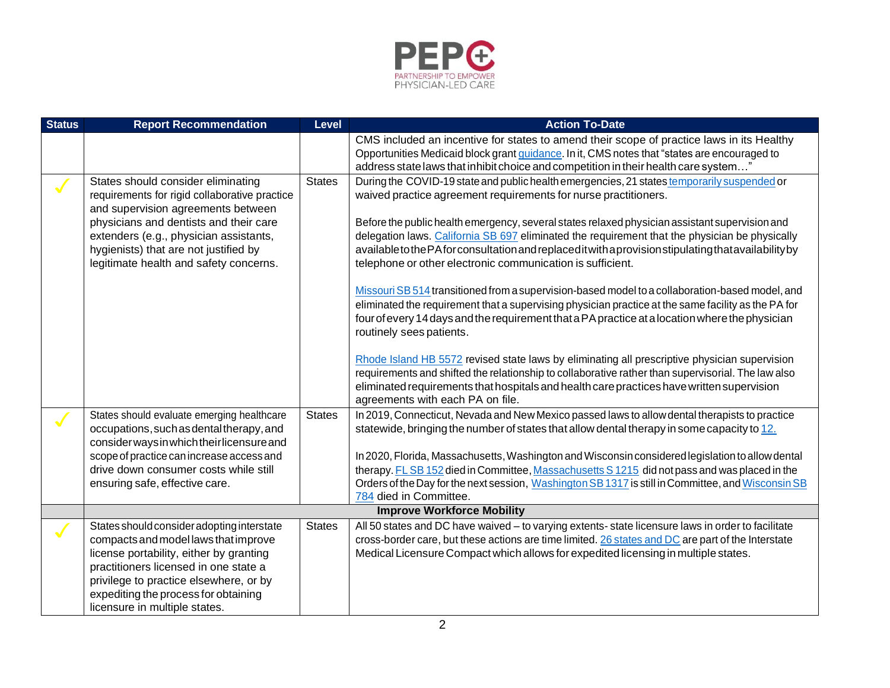

| <b>Status</b> | <b>Report Recommendation</b>                                                                                                                                                                                                                                                                     | Level         | <b>Action To-Date</b>                                                                                                                                                                                                                                                                                                                                                                                                                                                                                                                                                                                                                                                                                                                                                                                                                                                                                                                                                                                                                                                                                                                                                                                                      |
|---------------|--------------------------------------------------------------------------------------------------------------------------------------------------------------------------------------------------------------------------------------------------------------------------------------------------|---------------|----------------------------------------------------------------------------------------------------------------------------------------------------------------------------------------------------------------------------------------------------------------------------------------------------------------------------------------------------------------------------------------------------------------------------------------------------------------------------------------------------------------------------------------------------------------------------------------------------------------------------------------------------------------------------------------------------------------------------------------------------------------------------------------------------------------------------------------------------------------------------------------------------------------------------------------------------------------------------------------------------------------------------------------------------------------------------------------------------------------------------------------------------------------------------------------------------------------------------|
|               |                                                                                                                                                                                                                                                                                                  |               | CMS included an incentive for states to amend their scope of practice laws in its Healthy<br>Opportunities Medicaid block grant guidance. In it, CMS notes that "states are encouraged to<br>address state laws that inhibit choice and competition in their health care system"                                                                                                                                                                                                                                                                                                                                                                                                                                                                                                                                                                                                                                                                                                                                                                                                                                                                                                                                           |
| $\sqrt{}$     | States should consider eliminating<br>requirements for rigid collaborative practice<br>and supervision agreements between<br>physicians and dentists and their care<br>extenders (e.g., physician assistants,<br>hygienists) that are not justified by<br>legitimate health and safety concerns. | <b>States</b> | During the COVID-19 state and public health emergencies, 21 states temporarily suspended or<br>waived practice agreement requirements for nurse practitioners.<br>Before the public health emergency, several states relaxed physician assistant supervision and<br>delegation laws. California SB 697 eliminated the requirement that the physician be physically<br>available to the PA for consultation and replaced it with a provision stipulating that availability by<br>telephone or other electronic communication is sufficient.<br>Missouri SB 514 transitioned from a supervision-based model to a collaboration-based model, and<br>eliminated the requirement that a supervising physician practice at the same facility as the PA for<br>four of every 14 days and the requirement that a PA practice at a location where the physician<br>routinely sees patients.<br>Rhode Island HB 5572 revised state laws by eliminating all prescriptive physician supervision<br>requirements and shifted the relationship to collaborative rather than supervisorial. The law also<br>eliminated requirements that hospitals and health care practices have written supervision<br>agreements with each PA on file. |
|               | States should evaluate emerging healthcare<br>occupations, such as dental therapy, and<br>consider ways in which their licensure and<br>scope of practice can increase access and<br>drive down consumer costs while still<br>ensuring safe, effective care.                                     | <b>States</b> | In 2019, Connecticut, Nevada and New Mexico passed laws to allow dental therapists to practice<br>statewide, bringing the number of states that allow dental therapy in some capacity to 12.<br>In 2020, Florida, Massachusetts, Washington and Wisconsin considered legislation to allow dental<br>therapy. FL SB 152 died in Committee, Massachusetts S 1215 did not pass and was placed in the<br>Orders of the Day for the next session, Washington SB 1317 is still in Committee, and Wisconsin SB<br>784 died in Committee.                                                                                                                                                                                                                                                                                                                                                                                                                                                                                                                                                                                                                                                                                          |
|               |                                                                                                                                                                                                                                                                                                  |               | <b>Improve Workforce Mobility</b>                                                                                                                                                                                                                                                                                                                                                                                                                                                                                                                                                                                                                                                                                                                                                                                                                                                                                                                                                                                                                                                                                                                                                                                          |
|               | States should consider adopting interstate<br>compacts and model laws that improve<br>license portability, either by granting<br>practitioners licensed in one state a<br>privilege to practice elsewhere, or by<br>expediting the process for obtaining<br>licensure in multiple states.        | <b>States</b> | All 50 states and DC have waived - to varying extents-state licensure laws in order to facilitate<br>cross-border care, but these actions are time limited. 26 states and DC are part of the Interstate<br>Medical Licensure Compact which allows for expedited licensing in multiple states.                                                                                                                                                                                                                                                                                                                                                                                                                                                                                                                                                                                                                                                                                                                                                                                                                                                                                                                              |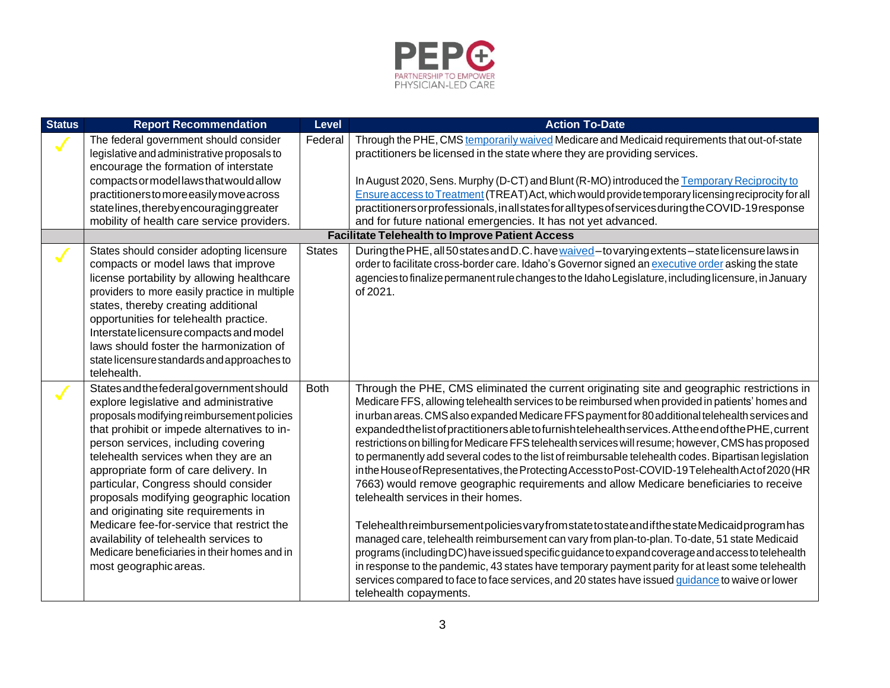

| <b>Status</b> | <b>Report Recommendation</b>                                                       | <b>Level</b>  | <b>Action To-Date</b>                                                                                  |
|---------------|------------------------------------------------------------------------------------|---------------|--------------------------------------------------------------------------------------------------------|
|               | The federal government should consider                                             | Federal       | Through the PHE, CMS temporarily waived Medicare and Medicaid requirements that out-of-state           |
|               | legislative and administrative proposals to                                        |               | practitioners be licensed in the state where they are providing services.                              |
|               | encourage the formation of interstate                                              |               |                                                                                                        |
|               | compacts or model laws that would allow                                            |               | In August 2020, Sens. Murphy (D-CT) and Blunt (R-MO) introduced the Temporary Reciprocity to           |
|               | practitionerstomoreeasilymoveacross                                                |               | Ensure access to Treatment (TREAT) Act, which would provide temporary licensing reciprocity for all    |
|               | statelines, thereby encouraging greater                                            |               | practitioners or professionals, in all states for all types of services during the COVID-19 response   |
|               | mobility of health care service providers.                                         |               | and for future national emergencies. It has not yet advanced.                                          |
|               |                                                                                    |               | <b>Facilitate Telehealth to Improve Patient Access</b>                                                 |
|               | States should consider adopting licensure                                          | <b>States</b> | During the PHE, all 50 states and D.C. have waived-to varying extents-state licensure laws in          |
|               | compacts or model laws that improve                                                |               | order to facilitate cross-border care. Idaho's Governor signed an executive order asking the state     |
|               | license portability by allowing healthcare                                         |               | agencies to finalize permanent rule changes to the Idaho Legislature, including licensure, in January  |
|               | providers to more easily practice in multiple                                      |               | of 2021.                                                                                               |
|               | states, thereby creating additional                                                |               |                                                                                                        |
|               | opportunities for telehealth practice.                                             |               |                                                                                                        |
|               | Interstate licensure compacts and model<br>laws should foster the harmonization of |               |                                                                                                        |
|               |                                                                                    |               |                                                                                                        |
|               | state licensure standards and approaches to<br>telehealth.                         |               |                                                                                                        |
|               | States and the federal government should                                           | <b>Both</b>   | Through the PHE, CMS eliminated the current originating site and geographic restrictions in            |
|               | explore legislative and administrative                                             |               | Medicare FFS, allowing telehealth services to be reimbursed when provided in patients' homes and       |
|               | proposals modifying reimbursement policies                                         |               | in urban areas. CMS also expanded Medicare FFS payment for 80 additional telehealth services and       |
|               | that prohibit or impede alternatives to in-                                        |               | expanded the list of practitioners able to furnish telehealth services. At the end of the PHE, current |
|               | person services, including covering                                                |               | restrictions on billing for Medicare FFS telehealth services will resume; however, CMS has proposed    |
|               | telehealth services when they are an                                               |               | to permanently add several codes to the list of reimbursable telehealth codes. Bipartisan legislation  |
|               | appropriate form of care delivery. In                                              |               | in the House of Representatives, the Protecting Access to Post-COVID-19 Telehealth Act of 2020 (HR     |
|               | particular, Congress should consider                                               |               | 7663) would remove geographic requirements and allow Medicare beneficiaries to receive                 |
|               | proposals modifying geographic location                                            |               | telehealth services in their homes.                                                                    |
|               | and originating site requirements in                                               |               |                                                                                                        |
|               | Medicare fee-for-service that restrict the                                         |               | Telehealth reimbursement policies vary from state to state and if the state Medicaid program has       |
|               | availability of telehealth services to                                             |               | managed care, telehealth reimbursement can vary from plan-to-plan. To-date, 51 state Medicaid          |
|               | Medicare beneficiaries in their homes and in                                       |               | programs (including DC) have issued specific guidance to expand coverage and access to telehealth      |
|               | most geographic areas.                                                             |               | in response to the pandemic, 43 states have temporary payment parity for at least some telehealth      |
|               |                                                                                    |               | services compared to face to face services, and 20 states have issued guidance to waive or lower       |
|               |                                                                                    |               | telehealth copayments.                                                                                 |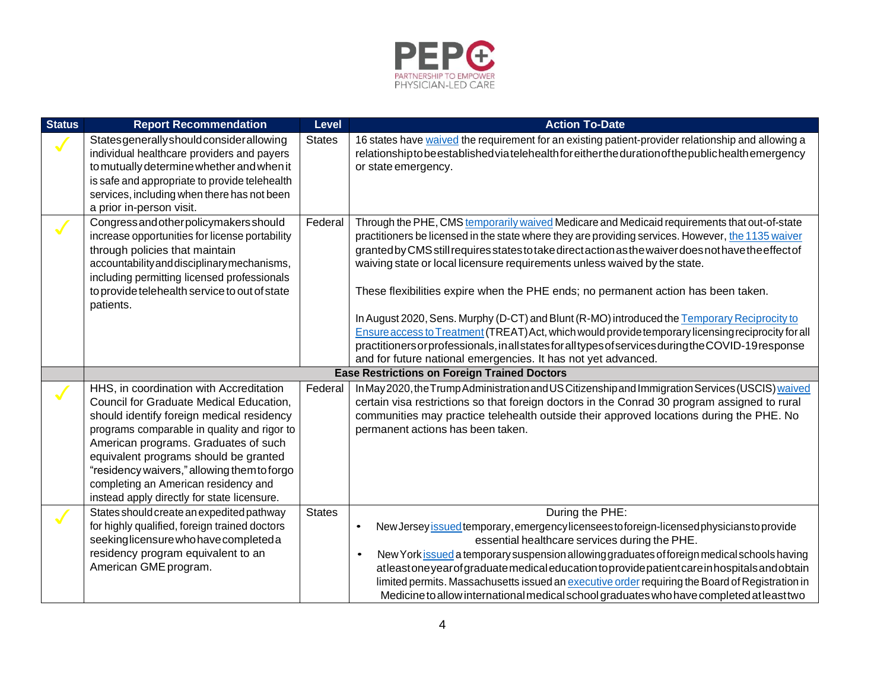

| <b>Status</b> | <b>Report Recommendation</b>                                                                                                                                                                                                                                                                                                                                                                          | <b>Level</b>  | <b>Action To-Date</b>                                                                                                                                                                                                                                                                                                                                                                                                                                                                                                                                                                                                                                                                                                                                                                                                                                        |
|---------------|-------------------------------------------------------------------------------------------------------------------------------------------------------------------------------------------------------------------------------------------------------------------------------------------------------------------------------------------------------------------------------------------------------|---------------|--------------------------------------------------------------------------------------------------------------------------------------------------------------------------------------------------------------------------------------------------------------------------------------------------------------------------------------------------------------------------------------------------------------------------------------------------------------------------------------------------------------------------------------------------------------------------------------------------------------------------------------------------------------------------------------------------------------------------------------------------------------------------------------------------------------------------------------------------------------|
|               | Statesgenerallyshould considerallowing<br>individual healthcare providers and payers<br>to mutually determine whether and when it<br>is safe and appropriate to provide telehealth<br>services, including when there has not been<br>a prior in-person visit.                                                                                                                                         | <b>States</b> | 16 states have waived the requirement for an existing patient-provider relationship and allowing a<br>relationship to be established via telehealth for either the duration of the publichealth emergency<br>or state emergency.                                                                                                                                                                                                                                                                                                                                                                                                                                                                                                                                                                                                                             |
|               | Congress and other policymakers should<br>increase opportunities for license portability<br>through policies that maintain<br>accountability and disciplinary mechanisms,<br>including permitting licensed professionals<br>to provide telehealth service to out of state<br>patients.                                                                                                                | Federal       | Through the PHE, CMS temporarily waived Medicare and Medicaid requirements that out-of-state<br>practitioners be licensed in the state where they are providing services. However, the 1135 waiver<br>granted by CMS still requires states to take direct action as the waiver does not have the effect of<br>waiving state or local licensure requirements unless waived by the state.<br>These flexibilities expire when the PHE ends; no permanent action has been taken.<br>In August 2020, Sens. Murphy (D-CT) and Blunt (R-MO) introduced the Temporary Reciprocity to<br>Ensure access to Treatment (TREAT) Act, which would provide temporary licensing reciprocity for all<br>practitioners or professionals, in all states for all types of services during the COVID-19 response<br>and for future national emergencies. It has not yet advanced. |
|               |                                                                                                                                                                                                                                                                                                                                                                                                       |               | <b>Ease Restrictions on Foreign Trained Doctors</b>                                                                                                                                                                                                                                                                                                                                                                                                                                                                                                                                                                                                                                                                                                                                                                                                          |
|               | HHS, in coordination with Accreditation<br>Council for Graduate Medical Education,<br>should identify foreign medical residency<br>programs comparable in quality and rigor to<br>American programs. Graduates of such<br>equivalent programs should be granted<br>"residency waivers," allowing them to forgo<br>completing an American residency and<br>instead apply directly for state licensure. | Federal       | In May 2020, the Trump Administration and US Citizenship and Immigration Services (USCIS) waived<br>certain visa restrictions so that foreign doctors in the Conrad 30 program assigned to rural<br>communities may practice telehealth outside their approved locations during the PHE. No<br>permanent actions has been taken.                                                                                                                                                                                                                                                                                                                                                                                                                                                                                                                             |
|               | States should create an expedited pathway<br>for highly qualified, foreign trained doctors<br>seekinglicensure who have completed a<br>residency program equivalent to an<br>American GME program.                                                                                                                                                                                                    | <b>States</b> | During the PHE:<br>New Jersey issued temporary, emergency licensees to foreign-licensed physicians to provide<br>$\bullet$<br>essential healthcare services during the PHE.<br>New York issued a temporary suspension allowing graduates of foreign medical schools having<br>atleastoneyearofgraduatemedicaleducationtoprovidepatientcareinhospitalsandobtain<br>limited permits. Massachusetts issued an executive order requiring the Board of Registration in<br>Medicine to allow international medical school graduates who have completed at least two                                                                                                                                                                                                                                                                                                |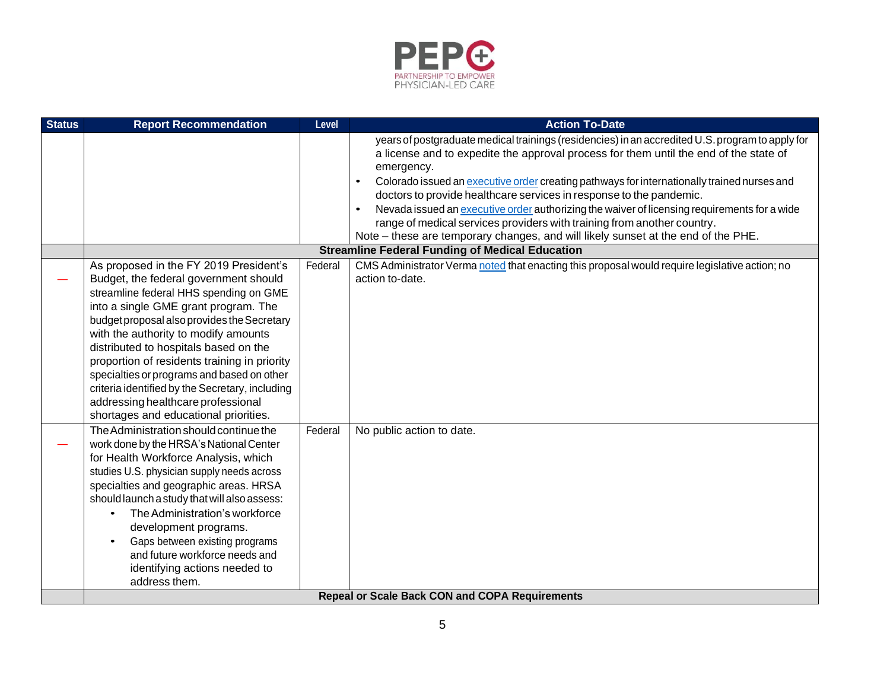

| <b>Status</b> | <b>Report Recommendation</b>                                                                                                                                                                                                                                                                                                                                                                                                                                                                                                      | Level   | <b>Action To-Date</b>                                                                                                                                                                                                                                                                                                                                                                                                                                                                                                                                                              |
|---------------|-----------------------------------------------------------------------------------------------------------------------------------------------------------------------------------------------------------------------------------------------------------------------------------------------------------------------------------------------------------------------------------------------------------------------------------------------------------------------------------------------------------------------------------|---------|------------------------------------------------------------------------------------------------------------------------------------------------------------------------------------------------------------------------------------------------------------------------------------------------------------------------------------------------------------------------------------------------------------------------------------------------------------------------------------------------------------------------------------------------------------------------------------|
|               |                                                                                                                                                                                                                                                                                                                                                                                                                                                                                                                                   |         | years of postgraduate medical trainings (residencies) in an accredited U.S. program to apply for<br>a license and to expedite the approval process for them until the end of the state of<br>emergency.<br>Colorado issued an executive order creating pathways for internationally trained nurses and<br>$\bullet$<br>doctors to provide healthcare services in response to the pandemic.<br>Nevada issued an executive order authorizing the waiver of licensing requirements for a wide<br>$\bullet$<br>range of medical services providers with training from another country. |
|               |                                                                                                                                                                                                                                                                                                                                                                                                                                                                                                                                   |         | Note - these are temporary changes, and will likely sunset at the end of the PHE.                                                                                                                                                                                                                                                                                                                                                                                                                                                                                                  |
|               |                                                                                                                                                                                                                                                                                                                                                                                                                                                                                                                                   |         | <b>Streamline Federal Funding of Medical Education</b>                                                                                                                                                                                                                                                                                                                                                                                                                                                                                                                             |
|               | As proposed in the FY 2019 President's<br>Budget, the federal government should<br>streamline federal HHS spending on GME<br>into a single GME grant program. The<br>budget proposal also provides the Secretary<br>with the authority to modify amounts<br>distributed to hospitals based on the<br>proportion of residents training in priority<br>specialties or programs and based on other<br>criteria identified by the Secretary, including<br>addressing healthcare professional<br>shortages and educational priorities. | Federal | CMS Administrator Verma noted that enacting this proposal would require legislative action; no<br>action to-date.                                                                                                                                                                                                                                                                                                                                                                                                                                                                  |
|               | The Administration should continue the<br>work done by the HRSA's National Center<br>for Health Workforce Analysis, which<br>studies U.S. physician supply needs across<br>specialties and geographic areas. HRSA<br>should launch a study that will also assess:<br>The Administration's workforce<br>development programs.<br>Gaps between existing programs<br>and future workforce needs and<br>identifying actions needed to<br>address them.                                                                                | Federal | No public action to date.                                                                                                                                                                                                                                                                                                                                                                                                                                                                                                                                                          |
|               |                                                                                                                                                                                                                                                                                                                                                                                                                                                                                                                                   |         | <b>Repeal or Scale Back CON and COPA Requirements</b>                                                                                                                                                                                                                                                                                                                                                                                                                                                                                                                              |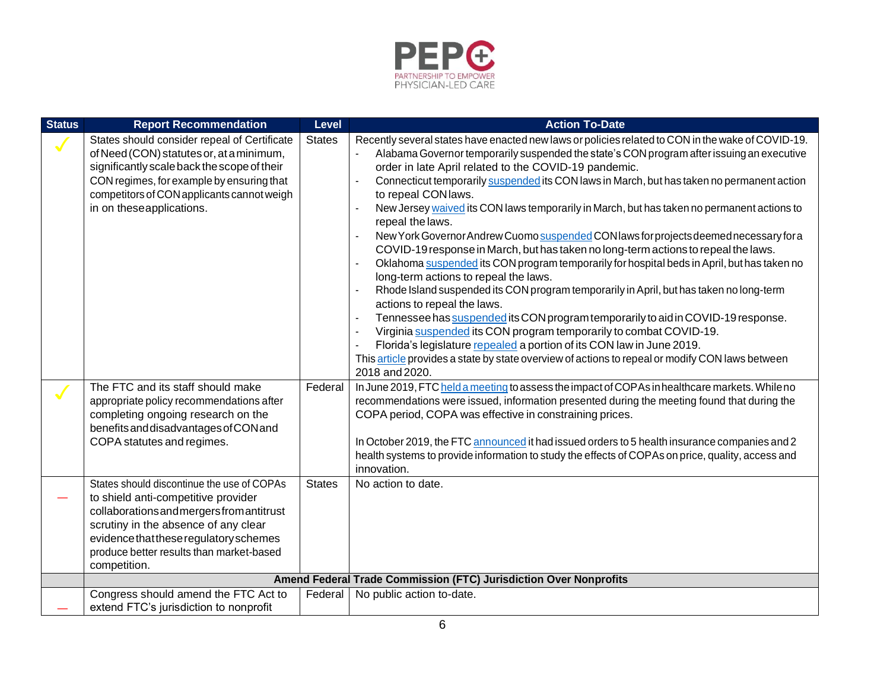

| <b>Status</b> | <b>Report Recommendation</b>                                                                                                                                                                                                                                                 | Level         | <b>Action To-Date</b>                                                                                                                                                                                                                                                                                                                                                                                                                                                                                                                                                                                                                                                                                                                                                                                                                                                                                                                                                                                                                                                                                                                                                                                                                                                                                                                                           |
|---------------|------------------------------------------------------------------------------------------------------------------------------------------------------------------------------------------------------------------------------------------------------------------------------|---------------|-----------------------------------------------------------------------------------------------------------------------------------------------------------------------------------------------------------------------------------------------------------------------------------------------------------------------------------------------------------------------------------------------------------------------------------------------------------------------------------------------------------------------------------------------------------------------------------------------------------------------------------------------------------------------------------------------------------------------------------------------------------------------------------------------------------------------------------------------------------------------------------------------------------------------------------------------------------------------------------------------------------------------------------------------------------------------------------------------------------------------------------------------------------------------------------------------------------------------------------------------------------------------------------------------------------------------------------------------------------------|
|               | States should consider repeal of Certificate<br>of Need (CON) statutes or, at a minimum,<br>significantly scale back the scope of their<br>CON regimes, for example by ensuring that<br>competitors of CON applicants cannot weigh<br>in on theseapplications.               | <b>States</b> | Recently several states have enacted new laws or policies related to CON in the wake of COVID-19.<br>Alabama Governor temporarily suspended the state's CON program after issuing an executive<br>order in late April related to the COVID-19 pandemic.<br>Connecticut temporarily suspended its CON laws in March, but has taken no permanent action<br>to repeal CON laws.<br>New Jersey waived its CON laws temporarily in March, but has taken no permanent actions to<br>repeal the laws.<br>New York Governor Andrew Cuomo suspended CON laws for projects deemed necessary for a<br>COVID-19 response in March, but has taken no long-term actions to repeal the laws.<br>Oklahoma suspended its CON program temporarily for hospital beds in April, but has taken no<br>long-term actions to repeal the laws.<br>Rhode Island suspended its CON program temporarily in April, but has taken no long-term<br>actions to repeal the laws.<br>Tennessee has suspended its CON program temporarily to aid in COVID-19 response.<br>$\overline{\phantom{a}}$<br>Virginia suspended its CON program temporarily to combat COVID-19.<br>$\overline{\phantom{a}}$<br>Florida's legislature repealed a portion of its CON law in June 2019.<br>This article provides a state by state overview of actions to repeal or modify CON laws between<br>2018 and 2020. |
|               | The FTC and its staff should make<br>appropriate policy recommendations after<br>completing ongoing research on the<br>benefits and disadvantages of CON and<br>COPA statutes and regimes.                                                                                   | Federal       | In June 2019, FTC held a meeting to assess the impact of COPAs in healthcare markets. While no<br>recommendations were issued, information presented during the meeting found that during the<br>COPA period, COPA was effective in constraining prices.<br>In October 2019, the FTC announced it had issued orders to 5 health insurance companies and 2<br>health systems to provide information to study the effects of COPAs on price, quality, access and<br>innovation.                                                                                                                                                                                                                                                                                                                                                                                                                                                                                                                                                                                                                                                                                                                                                                                                                                                                                   |
|               | States should discontinue the use of COPAs<br>to shield anti-competitive provider<br>collaborations and mergers from antitrust<br>scrutiny in the absence of any clear<br>evidence that these regulatory schemes<br>produce better results than market-based<br>competition. | <b>States</b> | No action to date.                                                                                                                                                                                                                                                                                                                                                                                                                                                                                                                                                                                                                                                                                                                                                                                                                                                                                                                                                                                                                                                                                                                                                                                                                                                                                                                                              |
|               |                                                                                                                                                                                                                                                                              |               | Amend Federal Trade Commission (FTC) Jurisdiction Over Nonprofits                                                                                                                                                                                                                                                                                                                                                                                                                                                                                                                                                                                                                                                                                                                                                                                                                                                                                                                                                                                                                                                                                                                                                                                                                                                                                               |
|               | Congress should amend the FTC Act to<br>extend FTC's jurisdiction to nonprofit                                                                                                                                                                                               | Federal       | No public action to-date.                                                                                                                                                                                                                                                                                                                                                                                                                                                                                                                                                                                                                                                                                                                                                                                                                                                                                                                                                                                                                                                                                                                                                                                                                                                                                                                                       |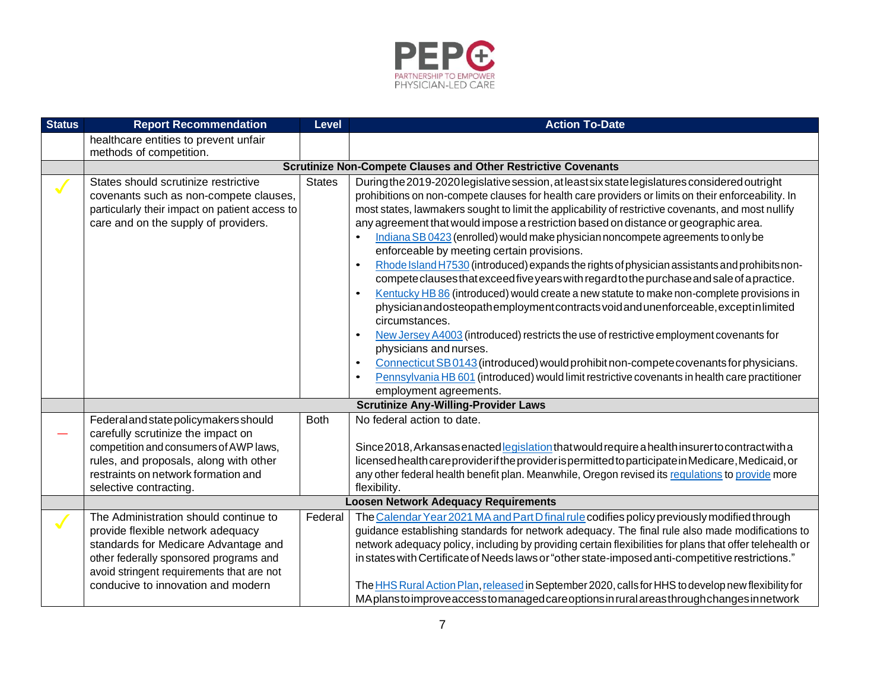

| <b>Status</b> | <b>Report Recommendation</b>                                                                                                                                                                                                                    | <b>Level</b>  | <b>Action To-Date</b>                                                                                                                                                                                                                                                                                                                                                                                                                                                                                                                                                                                                                                                                                                                                                                                                                                                                                                                                                                                                                                                                                                                                                                                                                                                                                                                                               |
|---------------|-------------------------------------------------------------------------------------------------------------------------------------------------------------------------------------------------------------------------------------------------|---------------|---------------------------------------------------------------------------------------------------------------------------------------------------------------------------------------------------------------------------------------------------------------------------------------------------------------------------------------------------------------------------------------------------------------------------------------------------------------------------------------------------------------------------------------------------------------------------------------------------------------------------------------------------------------------------------------------------------------------------------------------------------------------------------------------------------------------------------------------------------------------------------------------------------------------------------------------------------------------------------------------------------------------------------------------------------------------------------------------------------------------------------------------------------------------------------------------------------------------------------------------------------------------------------------------------------------------------------------------------------------------|
|               | healthcare entities to prevent unfair                                                                                                                                                                                                           |               |                                                                                                                                                                                                                                                                                                                                                                                                                                                                                                                                                                                                                                                                                                                                                                                                                                                                                                                                                                                                                                                                                                                                                                                                                                                                                                                                                                     |
|               | methods of competition.                                                                                                                                                                                                                         |               |                                                                                                                                                                                                                                                                                                                                                                                                                                                                                                                                                                                                                                                                                                                                                                                                                                                                                                                                                                                                                                                                                                                                                                                                                                                                                                                                                                     |
|               |                                                                                                                                                                                                                                                 |               | <b>Scrutinize Non-Compete Clauses and Other Restrictive Covenants</b>                                                                                                                                                                                                                                                                                                                                                                                                                                                                                                                                                                                                                                                                                                                                                                                                                                                                                                                                                                                                                                                                                                                                                                                                                                                                                               |
|               | States should scrutinize restrictive<br>covenants such as non-compete clauses,<br>particularly their impact on patient access to<br>care and on the supply of providers.                                                                        | <b>States</b> | During the 2019-2020 legislative session, at least six state legislatures considered outright<br>prohibitions on non-compete clauses for health care providers or limits on their enforceability. In<br>most states, lawmakers sought to limit the applicability of restrictive covenants, and most nullify<br>any agreement that would impose a restriction based on distance or geographic area.<br>Indiana SB 0423 (enrolled) would make physician noncompete agreements to only be<br>$\bullet$<br>enforceable by meeting certain provisions.<br>Rhode Island H7530 (introduced) expands the rights of physician assistants and prohibits non-<br>$\bullet$<br>compete clauses that exceed five years with regard to the purchase and sale of a practice.<br>Kentucky HB 86 (introduced) would create a new statute to make non-complete provisions in<br>$\bullet$<br>physician and osteopath employment contracts void and unenforceable, except in limited<br>circumstances.<br>New Jersey A4003 (introduced) restricts the use of restrictive employment covenants for<br>$\bullet$<br>physicians and nurses.<br>Connecticut SB0143 (introduced) would prohibit non-compete covenants for physicians.<br>$\bullet$<br>Pennsylvania HB 601 (introduced) would limit restrictive covenants in health care practitioner<br>$\bullet$<br>employment agreements. |
|               |                                                                                                                                                                                                                                                 |               | <b>Scrutinize Any-Willing-Provider Laws</b>                                                                                                                                                                                                                                                                                                                                                                                                                                                                                                                                                                                                                                                                                                                                                                                                                                                                                                                                                                                                                                                                                                                                                                                                                                                                                                                         |
|               | Federal and state policymakers should                                                                                                                                                                                                           | <b>Both</b>   | No federal action to date.                                                                                                                                                                                                                                                                                                                                                                                                                                                                                                                                                                                                                                                                                                                                                                                                                                                                                                                                                                                                                                                                                                                                                                                                                                                                                                                                          |
|               | carefully scrutinize the impact on<br>competition and consumers of AWP laws,<br>rules, and proposals, along with other<br>restraints on network formation and<br>selective contracting.                                                         |               | Since 2018, Arkansas enacted legislation that would require a health insurer to contract with a<br>licensed health care provider if the provider is permitted to participate in Medicare, Medicaid, or<br>any other federal health benefit plan. Meanwhile, Oregon revised its regulations to provide more<br>flexibility.                                                                                                                                                                                                                                                                                                                                                                                                                                                                                                                                                                                                                                                                                                                                                                                                                                                                                                                                                                                                                                          |
|               |                                                                                                                                                                                                                                                 |               | <b>Loosen Network Adequacy Requirements</b>                                                                                                                                                                                                                                                                                                                                                                                                                                                                                                                                                                                                                                                                                                                                                                                                                                                                                                                                                                                                                                                                                                                                                                                                                                                                                                                         |
|               | The Administration should continue to<br>provide flexible network adequacy<br>standards for Medicare Advantage and<br>other federally sponsored programs and<br>avoid stringent requirements that are not<br>conducive to innovation and modern | Federal       | The Calendar Year 2021 MA and Part D final rule codifies policy previously modified through<br>guidance establishing standards for network adequacy. The final rule also made modifications to<br>network adequacy policy, including by providing certain flexibilities for plans that offer telehealth or<br>in states with Certificate of Needs laws or "other state-imposed anti-competitive restrictions."<br>The HHS Rural Action Plan, released in September 2020, calls for HHS to develop new flexibility for<br>MAplanstoimprove access to managed care options in rural areas through changes in network                                                                                                                                                                                                                                                                                                                                                                                                                                                                                                                                                                                                                                                                                                                                                  |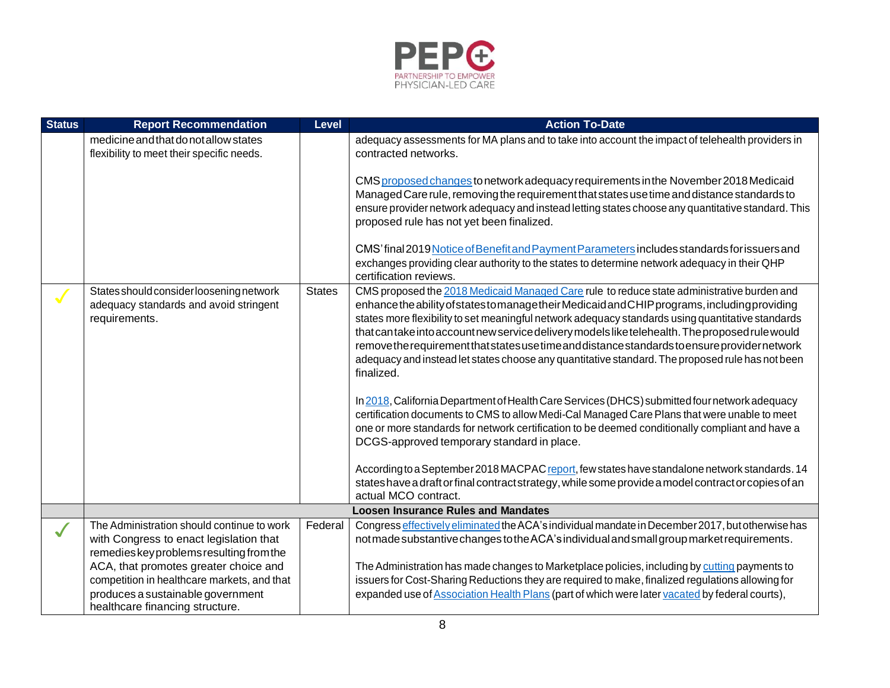

| <b>Status</b> | <b>Report Recommendation</b>                                                                                                                                 | Level         | <b>Action To-Date</b>                                                                                                                                                                                                                                                                                                                                                                                                                                                                                                                                                                                                                                                                                                                                                                                                                                                                                                                                                                                                                                                                                                                                                                                   |
|---------------|--------------------------------------------------------------------------------------------------------------------------------------------------------------|---------------|---------------------------------------------------------------------------------------------------------------------------------------------------------------------------------------------------------------------------------------------------------------------------------------------------------------------------------------------------------------------------------------------------------------------------------------------------------------------------------------------------------------------------------------------------------------------------------------------------------------------------------------------------------------------------------------------------------------------------------------------------------------------------------------------------------------------------------------------------------------------------------------------------------------------------------------------------------------------------------------------------------------------------------------------------------------------------------------------------------------------------------------------------------------------------------------------------------|
|               | medicine and that do not allow states<br>flexibility to meet their specific needs.                                                                           |               | adequacy assessments for MA plans and to take into account the impact of telehealth providers in<br>contracted networks.                                                                                                                                                                                                                                                                                                                                                                                                                                                                                                                                                                                                                                                                                                                                                                                                                                                                                                                                                                                                                                                                                |
|               |                                                                                                                                                              |               | CMS proposed changes to network adequacy requirements in the November 2018 Medicaid<br>Managed Care rule, removing the requirement that states use time and distance standards to<br>ensure provider network adequacy and instead letting states choose any quantitative standard. This<br>proposed rule has not yet been finalized.                                                                                                                                                                                                                                                                                                                                                                                                                                                                                                                                                                                                                                                                                                                                                                                                                                                                    |
|               |                                                                                                                                                              |               | CMS' final 2019 Notice of Benefit and Payment Parameters includes standards for issuers and<br>exchanges providing clear authority to the states to determine network adequacy in their QHP<br>certification reviews.                                                                                                                                                                                                                                                                                                                                                                                                                                                                                                                                                                                                                                                                                                                                                                                                                                                                                                                                                                                   |
|               | States should consider loosening network<br>adequacy standards and avoid stringent<br>requirements.                                                          | <b>States</b> | CMS proposed the 2018 Medicaid Managed Care rule to reduce state administrative burden and<br>enhance the ability of states to manage their Medicaid and CHIP programs, including providing<br>states more flexibility to set meaningful network adequacy standards using quantitative standards<br>that can take into account new service delivery models like telehealth. The proposed rule would<br>removethe requirement that states use time and distance standards to ensure provider network<br>adequacy and instead let states choose any quantitative standard. The proposed rule has not been<br>finalized.<br>In 2018, California Department of Health Care Services (DHCS) submitted four network adequacy<br>certification documents to CMS to allow Medi-Cal Managed Care Plans that were unable to meet<br>one or more standards for network certification to be deemed conditionally compliant and have a<br>DCGS-approved temporary standard in place.<br>According to a September 2018 MACPAC report, few states have standalone network standards. 14<br>states have a draft or final contract strategy, while some provide a model contract or copies of an<br>actual MCO contract. |
|               |                                                                                                                                                              |               | <b>Loosen Insurance Rules and Mandates</b>                                                                                                                                                                                                                                                                                                                                                                                                                                                                                                                                                                                                                                                                                                                                                                                                                                                                                                                                                                                                                                                                                                                                                              |
|               | The Administration should continue to work<br>with Congress to enact legislation that<br>remedies key problems resulting from the                            | Federal       | Congress effectively eliminated the ACA's individual mandate in December 2017, but otherwise has<br>notmade substantive changes to the ACA's individual and small group market requirements.                                                                                                                                                                                                                                                                                                                                                                                                                                                                                                                                                                                                                                                                                                                                                                                                                                                                                                                                                                                                            |
|               | ACA, that promotes greater choice and<br>competition in healthcare markets, and that<br>produces a sustainable government<br>healthcare financing structure. |               | The Administration has made changes to Marketplace policies, including by cutting payments to<br>issuers for Cost-Sharing Reductions they are required to make, finalized regulations allowing for<br>expanded use of Association Health Plans (part of which were later vacated by federal courts),                                                                                                                                                                                                                                                                                                                                                                                                                                                                                                                                                                                                                                                                                                                                                                                                                                                                                                    |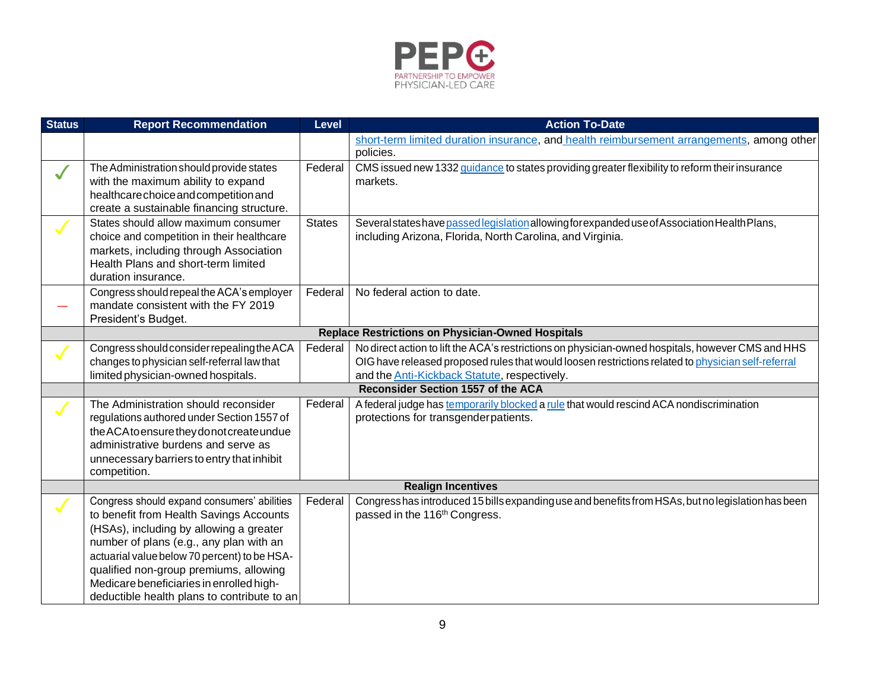

| <b>Status</b> | <b>Report Recommendation</b>                                                                                                                                                                                                                                                                                                                                      | <b>Level</b>  | <b>Action To-Date</b>                                                                                                                                                                                                                                           |
|---------------|-------------------------------------------------------------------------------------------------------------------------------------------------------------------------------------------------------------------------------------------------------------------------------------------------------------------------------------------------------------------|---------------|-----------------------------------------------------------------------------------------------------------------------------------------------------------------------------------------------------------------------------------------------------------------|
|               |                                                                                                                                                                                                                                                                                                                                                                   |               | short-term limited duration insurance, and health reimbursement arrangements, among other<br>policies.                                                                                                                                                          |
| $\checkmark$  | The Administration should provide states<br>with the maximum ability to expand<br>healthcarechoice and competition and<br>create a sustainable financing structure.                                                                                                                                                                                               | Federal       | CMS issued new 1332 guidance to states providing greater flexibility to reform their insurance<br>markets.                                                                                                                                                      |
|               | States should allow maximum consumer<br>choice and competition in their healthcare<br>markets, including through Association<br>Health Plans and short-term limited<br>duration insurance.                                                                                                                                                                        | <b>States</b> | Several states have passed legislation allowing for expanded use of Association Health Plans,<br>including Arizona, Florida, North Carolina, and Virginia.                                                                                                      |
|               | Congress should repeal the ACA's employer<br>mandate consistent with the FY 2019<br>President's Budget.                                                                                                                                                                                                                                                           | Federal       | No federal action to date.                                                                                                                                                                                                                                      |
|               |                                                                                                                                                                                                                                                                                                                                                                   |               | <b>Replace Restrictions on Physician-Owned Hospitals</b>                                                                                                                                                                                                        |
|               | Congress should consider repealing the ACA<br>changes to physician self-referral law that<br>limited physician-owned hospitals.                                                                                                                                                                                                                                   | Federal       | No direct action to lift the ACA's restrictions on physician-owned hospitals, however CMS and HHS<br>OIG have released proposed rules that would loosen restrictions related to physician self-referral<br>and the <b>Anti-Kickback Statute</b> , respectively. |
|               |                                                                                                                                                                                                                                                                                                                                                                   |               | <b>Reconsider Section 1557 of the ACA</b>                                                                                                                                                                                                                       |
|               | The Administration should reconsider<br>regulations authored under Section 1557 of<br>the ACA to ensure they donot create undue<br>administrative burdens and serve as<br>unnecessary barriers to entry that inhibit<br>competition.                                                                                                                              | Federal       | A federal judge has temporarily blocked a rule that would rescind ACA nondiscrimination<br>protections for transgender patients.                                                                                                                                |
|               |                                                                                                                                                                                                                                                                                                                                                                   |               | <b>Realign Incentives</b>                                                                                                                                                                                                                                       |
|               | Congress should expand consumers' abilities<br>to benefit from Health Savings Accounts<br>(HSAs), including by allowing a greater<br>number of plans (e.g., any plan with an<br>actuarial value below 70 percent) to be HSA-<br>qualified non-group premiums, allowing<br>Medicare beneficiaries in enrolled high-<br>deductible health plans to contribute to an | Federal       | Congress has introduced 15 bills expanding use and benefits from HSAs, but no legislation has been<br>passed in the 116 <sup>th</sup> Congress.                                                                                                                 |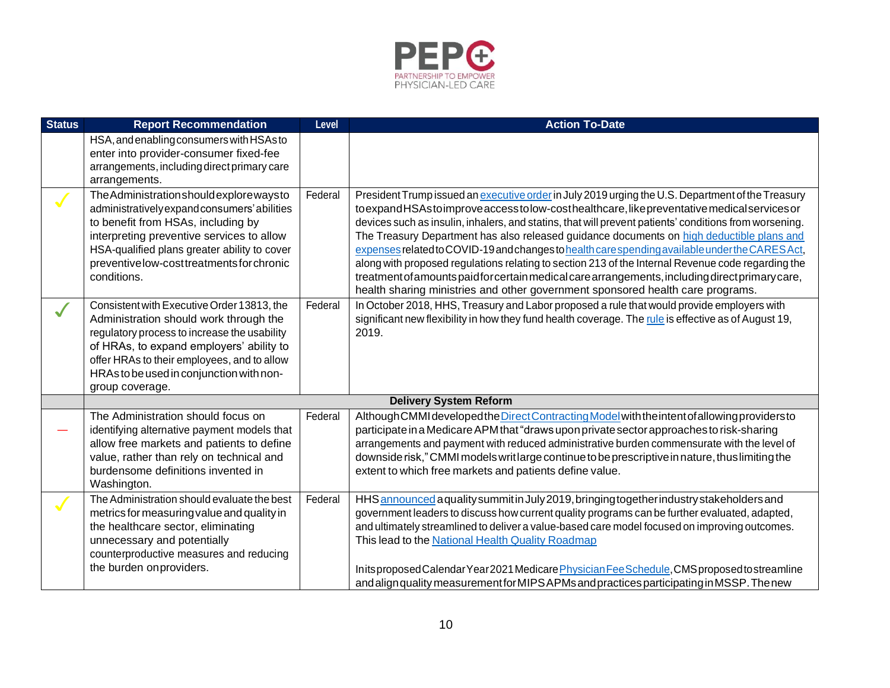

| <b>Status</b> | <b>Report Recommendation</b>                                                                                                                                                                                                                                                                   | Level   | <b>Action To-Date</b>                                                                                                                                                                                                                                                                                                                                                                                                                                                                                                                                                                                                                                                                                                                                                                           |
|---------------|------------------------------------------------------------------------------------------------------------------------------------------------------------------------------------------------------------------------------------------------------------------------------------------------|---------|-------------------------------------------------------------------------------------------------------------------------------------------------------------------------------------------------------------------------------------------------------------------------------------------------------------------------------------------------------------------------------------------------------------------------------------------------------------------------------------------------------------------------------------------------------------------------------------------------------------------------------------------------------------------------------------------------------------------------------------------------------------------------------------------------|
|               | HSA, and enabling consumers with HSAs to<br>enter into provider-consumer fixed-fee<br>arrangements, including direct primary care<br>arrangements.                                                                                                                                             |         |                                                                                                                                                                                                                                                                                                                                                                                                                                                                                                                                                                                                                                                                                                                                                                                                 |
|               | The Administration should explore ways to<br>administratively expand consumers' abilities<br>to benefit from HSAs, including by<br>interpreting preventive services to allow<br>HSA-qualified plans greater ability to cover<br>preventive low-cost treatments for chronic<br>conditions.      | Federal | President Trump issued an executive order in July 2019 urging the U.S. Department of the Treasury<br>toexpandHSAstoimproveaccesstolow-costhealthcare, likepreventative medical services or<br>devices such as insulin, inhalers, and statins, that will prevent patients' conditions from worsening.<br>The Treasury Department has also released guidance documents on high deductible plans and<br>expenses related to COVID-19 and changes to health care spending available under the CARES Act,<br>along with proposed regulations relating to section 213 of the Internal Revenue code regarding the<br>treatment of amounts paid for certain medical care arrangements, including direct primary care,<br>health sharing ministries and other government sponsored health care programs. |
|               | Consistent with Executive Order 13813, the<br>Administration should work through the<br>regulatory process to increase the usability<br>of HRAs, to expand employers' ability to<br>offer HRAs to their employees, and to allow<br>HRAs to be used in conjunction with non-<br>group coverage. | Federal | In October 2018, HHS, Treasury and Labor proposed a rule that would provide employers with<br>significant new flexibility in how they fund health coverage. The rule is effective as of August 19,<br>2019.                                                                                                                                                                                                                                                                                                                                                                                                                                                                                                                                                                                     |
|               |                                                                                                                                                                                                                                                                                                |         | <b>Delivery System Reform</b>                                                                                                                                                                                                                                                                                                                                                                                                                                                                                                                                                                                                                                                                                                                                                                   |
|               | The Administration should focus on<br>identifying alternative payment models that<br>allow free markets and patients to define<br>value, rather than rely on technical and<br>burdensome definitions invented in<br>Washington.                                                                | Federal | Although CMMI developed the Direct Contracting Model with the intent of allowing providers to<br>participate in a Medicare APM that "draws upon private sector approaches to risk-sharing<br>arrangements and payment with reduced administrative burden commensurate with the level of<br>downside risk," CMMI models writ large continue to be prescriptive in nature, thus limiting the<br>extent to which free markets and patients define value.                                                                                                                                                                                                                                                                                                                                           |
|               | The Administration should evaluate the best<br>metrics for measuring value and quality in<br>the healthcare sector, eliminating<br>unnecessary and potentially<br>counterproductive measures and reducing<br>the burden on providers.                                                          | Federal | HHS announced a quality summit in July 2019, bringing together industry stakeholders and<br>government leaders to discuss how current quality programs can be further evaluated, adapted,<br>and ultimately streamlined to deliver a value-based care model focused on improving outcomes.<br>This lead to the National Health Quality Roadmap<br>Initsproposed Calendar Year 2021 Medicare Physician Fee Schedule, CMS proposed to streamline<br>and align quality measurement for MIPS APMs and practices participating in MSSP. The new                                                                                                                                                                                                                                                      |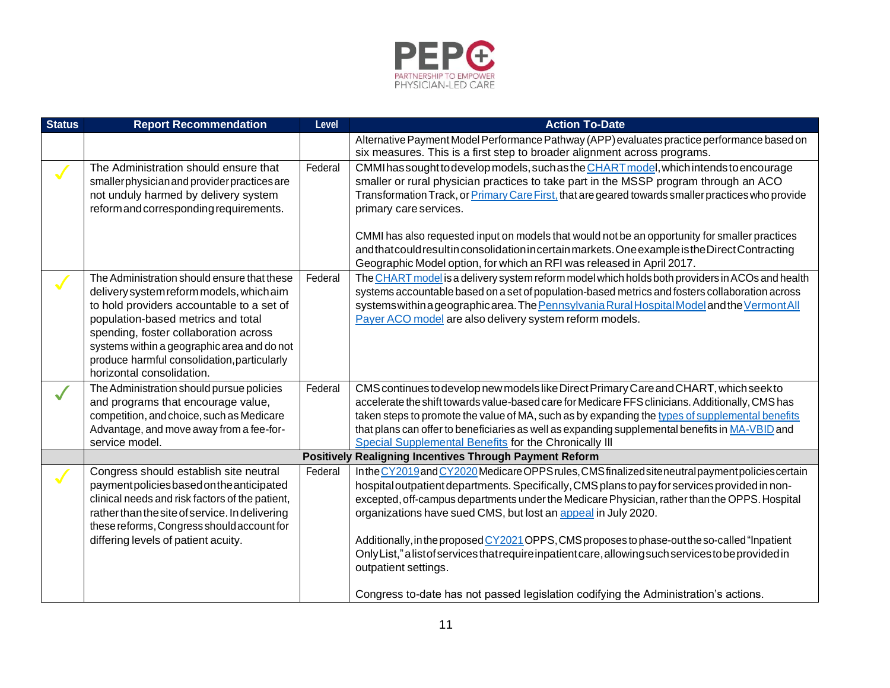

| <b>Status</b> | <b>Report Recommendation</b>                                                                                                                                                                                                                                                                                                                   | Level   | <b>Action To-Date</b>                                                                                                                                                                                                                                                                                                                                                                                                                                                                                                                                                                               |
|---------------|------------------------------------------------------------------------------------------------------------------------------------------------------------------------------------------------------------------------------------------------------------------------------------------------------------------------------------------------|---------|-----------------------------------------------------------------------------------------------------------------------------------------------------------------------------------------------------------------------------------------------------------------------------------------------------------------------------------------------------------------------------------------------------------------------------------------------------------------------------------------------------------------------------------------------------------------------------------------------------|
|               |                                                                                                                                                                                                                                                                                                                                                |         | Alternative Payment Model Performance Pathway (APP) evaluates practice performance based on<br>six measures. This is a first step to broader alignment across programs.                                                                                                                                                                                                                                                                                                                                                                                                                             |
|               | The Administration should ensure that<br>smaller physician and provider practices are<br>not unduly harmed by delivery system<br>reform and corresponding requirements.                                                                                                                                                                        | Federal | CMMI has sought to develop models, such as the CHART model, which intends to encourage<br>smaller or rural physician practices to take part in the MSSP program through an ACO<br>Transformation Track, or Primary Care First, that are geared towards smaller practices who provide<br>primary care services.<br>CMMI has also requested input on models that would not be an opportunity for smaller practices                                                                                                                                                                                    |
|               |                                                                                                                                                                                                                                                                                                                                                |         | andthat could result in consolidation in certain markets. One example is the Direct Contracting<br>Geographic Model option, for which an RFI was released in April 2017.                                                                                                                                                                                                                                                                                                                                                                                                                            |
|               | The Administration should ensure that these<br>delivery system reform models, which aim<br>to hold providers accountable to a set of<br>population-based metrics and total<br>spending, foster collaboration across<br>systems within a geographic area and do not<br>produce harmful consolidation, particularly<br>horizontal consolidation. | Federal | The CHART model is a delivery system reform model which holds both providers in ACOs and health<br>systems accountable based on a set of population-based metrics and fosters collaboration across<br>systems within a geographic area. The Pennsylvania Rural Hospital Model and the Vermont All<br>Payer ACO model are also delivery system reform models.                                                                                                                                                                                                                                        |
| $\checkmark$  | The Administration should pursue policies<br>and programs that encourage value,<br>competition, and choice, such as Medicare<br>Advantage, and move away from a fee-for-<br>service model.                                                                                                                                                     | Federal | CMS continues to develop new models like Direct Primary Care and CHART, which seek to<br>accelerate the shift towards value-based care for Medicare FFS clinicians. Additionally, CMS has<br>taken steps to promote the value of MA, such as by expanding the types of supplemental benefits<br>that plans can offer to beneficiaries as well as expanding supplemental benefits in MA-VBID and<br>Special Supplemental Benefits for the Chronically III                                                                                                                                            |
|               |                                                                                                                                                                                                                                                                                                                                                |         | <b>Positively Realigning Incentives Through Payment Reform</b>                                                                                                                                                                                                                                                                                                                                                                                                                                                                                                                                      |
|               | Congress should establish site neutral<br>paymentpoliciesbased on the anticipated<br>clinical needs and risk factors of the patient,<br>rather than the site of service. In delivering<br>these reforms, Congress should account for<br>differing levels of patient acuity.                                                                    | Federal | In the CY2019 and CY2020 Medicare OPPS rules, CMS finalized site neutral payment policies certain<br>hospital outpatient departments. Specifically, CMS plans to pay for services provided in non-<br>excepted, off-campus departments under the Medicare Physician, rather than the OPPS. Hospital<br>organizations have sued CMS, but lost an appeal in July 2020.<br>Additionally, in the proposed CY2021 OPPS, CMS proposes to phase-out the so-called "Inpatient<br>OnlyList," alist of services that require inpatient care, allowing such services to be provided in<br>outpatient settings. |
|               |                                                                                                                                                                                                                                                                                                                                                |         | Congress to-date has not passed legislation codifying the Administration's actions.                                                                                                                                                                                                                                                                                                                                                                                                                                                                                                                 |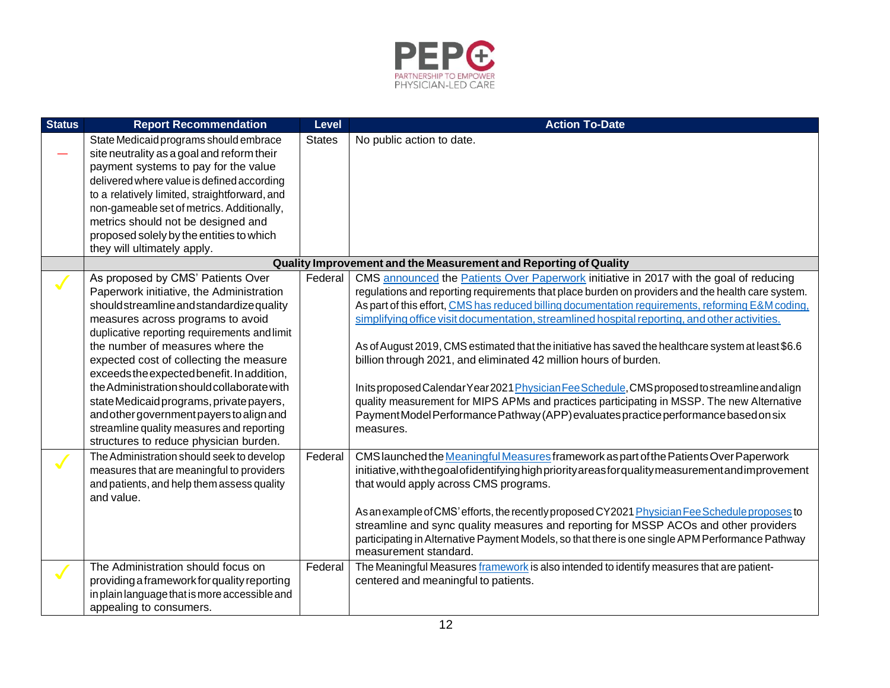

| <b>Status</b> | <b>Report Recommendation</b>                                            | <b>Level</b>  | <b>Action To-Date</b>                                                                                |
|---------------|-------------------------------------------------------------------------|---------------|------------------------------------------------------------------------------------------------------|
|               | State Medicaid programs should embrace                                  | <b>States</b> | No public action to date.                                                                            |
|               | site neutrality as a goal and reform their                              |               |                                                                                                      |
|               | payment systems to pay for the value                                    |               |                                                                                                      |
|               | delivered where value is defined according                              |               |                                                                                                      |
|               | to a relatively limited, straightforward, and                           |               |                                                                                                      |
|               | non-gameable set of metrics. Additionally,                              |               |                                                                                                      |
|               | metrics should not be designed and                                      |               |                                                                                                      |
|               | proposed solely by the entities to which<br>they will ultimately apply. |               |                                                                                                      |
|               |                                                                         |               | Quality Improvement and the Measurement and Reporting of Quality                                     |
|               | As proposed by CMS' Patients Over                                       | Federal       | CMS announced the Patients Over Paperwork initiative in 2017 with the goal of reducing               |
|               | Paperwork initiative, the Administration                                |               | regulations and reporting requirements that place burden on providers and the health care system.    |
|               | should streamline and standardize quality                               |               | As part of this effort, CMS has reduced billing documentation requirements, reforming E&M coding,    |
|               | measures across programs to avoid                                       |               | simplifying office visit documentation, streamlined hospital reporting, and other activities.        |
|               | duplicative reporting requirements and limit                            |               |                                                                                                      |
|               | the number of measures where the                                        |               | As of August 2019, CMS estimated that the initiative has saved the healthcare system at least \$6.6  |
|               | expected cost of collecting the measure                                 |               | billion through 2021, and eliminated 42 million hours of burden.                                     |
|               | exceeds the expected benefit. In addition,                              |               |                                                                                                      |
|               | the Administration should collaborate with                              |               | Inits proposed Calendar Year 2021 Physician Fee Schedule, CMS proposed to streamline and align       |
|               | state Medicaid programs, private payers,                                |               | quality measurement for MIPS APMs and practices participating in MSSP. The new Alternative           |
|               | and other government payers to align and                                |               | Payment Model Performance Pathway (APP) evaluates practice performance based on six                  |
|               | streamline quality measures and reporting                               |               | measures.                                                                                            |
|               | structures to reduce physician burden.                                  |               |                                                                                                      |
|               | The Administration should seek to develop                               | Federal       | CMS launched the Meaningful Measures framework as part of the Patients Over Paperwork                |
|               | measures that are meaningful to providers                               |               | initiative, with the goal of identifying high priority areas for quality measurement and improvement |
|               | and patients, and help them assess quality                              |               | that would apply across CMS programs.                                                                |
|               | and value.                                                              |               |                                                                                                      |
|               |                                                                         |               | As an example of CMS' efforts, the recently proposed CY2021 Physician Fee Schedule proposes to       |
|               |                                                                         |               | streamline and sync quality measures and reporting for MSSP ACOs and other providers                 |
|               |                                                                         |               | participating in Alternative Payment Models, so that there is one single APM Performance Pathway     |
|               |                                                                         |               | measurement standard.                                                                                |
|               | The Administration should focus on                                      | Federal       | The Meaningful Measures framework is also intended to identify measures that are patient-            |
|               | providing a framework for quality reporting                             |               | centered and meaningful to patients.                                                                 |
|               | in plain language that is more accessible and                           |               |                                                                                                      |
|               | appealing to consumers.                                                 |               |                                                                                                      |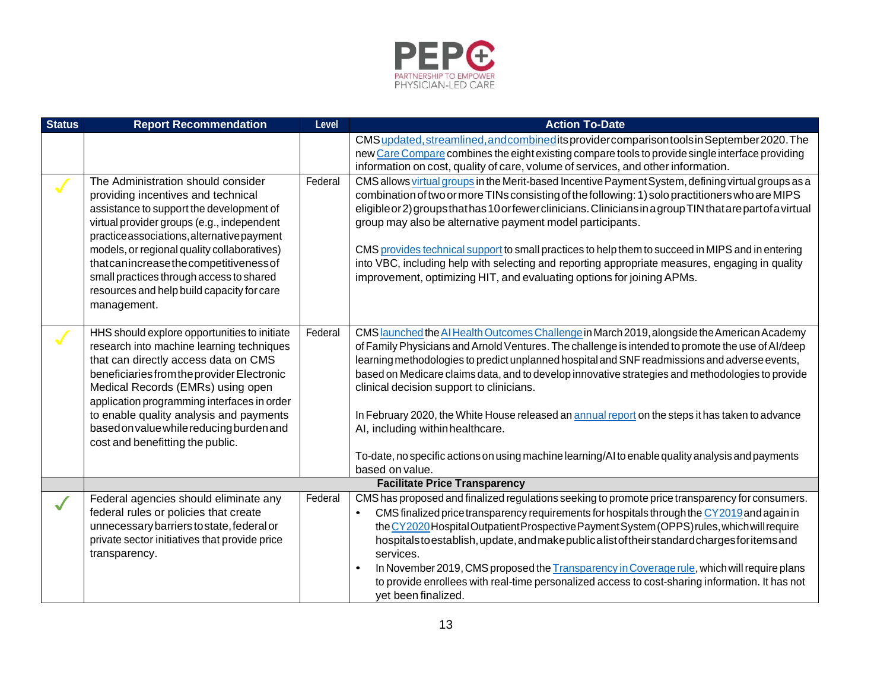

| <b>Status</b> | <b>Report Recommendation</b>                                                                                                                                                                                                                                                                                                                                                                                     | Level   | <b>Action To-Date</b>                                                                                                                                                                                                                                                                                                                                                                                                                                                                                                                                                                                                                                                                                                    |  |  |  |
|---------------|------------------------------------------------------------------------------------------------------------------------------------------------------------------------------------------------------------------------------------------------------------------------------------------------------------------------------------------------------------------------------------------------------------------|---------|--------------------------------------------------------------------------------------------------------------------------------------------------------------------------------------------------------------------------------------------------------------------------------------------------------------------------------------------------------------------------------------------------------------------------------------------------------------------------------------------------------------------------------------------------------------------------------------------------------------------------------------------------------------------------------------------------------------------------|--|--|--|
|               |                                                                                                                                                                                                                                                                                                                                                                                                                  |         | CMS updated, streamlined, and combined its provider comparison tools in September 2020. The<br>new Care Compare combines the eight existing compare tools to provide single interface providing<br>information on cost, quality of care, volume of services, and other information.                                                                                                                                                                                                                                                                                                                                                                                                                                      |  |  |  |
|               | The Administration should consider<br>providing incentives and technical<br>assistance to support the development of<br>virtual provider groups (e.g., independent<br>practice associations, alternative payment<br>models, or regional quality collaboratives)<br>thatcanincreasethecompetitiveness of<br>small practices through access to shared<br>resources and help build capacity for care<br>management. | Federal | CMS allows virtual groups in the Merit-based Incentive Payment System, defining virtual groups as a<br>combination of two or more TINs consisting of the following: 1) solo practitioners who are MIPS<br>eligible or 2) groups that has 10 or fewer clinicians. Clinicians in a group TIN that are part of a virtual<br>group may also be alternative payment model participants.<br>CMS provides technical support to small practices to help them to succeed in MIPS and in entering<br>into VBC, including help with selecting and reporting appropriate measures, engaging in quality<br>improvement, optimizing HIT, and evaluating options for joining APMs.                                                      |  |  |  |
|               | HHS should explore opportunities to initiate<br>research into machine learning techniques<br>that can directly access data on CMS<br>beneficiaries from the provider Electronic<br>Medical Records (EMRs) using open<br>application programming interfaces in order<br>to enable quality analysis and payments<br>based on value while reducing burden and<br>cost and benefitting the public.                   | Federal | CMS <b>Jaunched</b> the AI Health Outcomes Challenge in March 2019, alongside the American Academy<br>of Family Physicians and Arnold Ventures. The challenge is intended to promote the use of Al/deep<br>learning methodologies to predict unplanned hospital and SNF readmissions and adverse events,<br>based on Medicare claims data, and to develop innovative strategies and methodologies to provide<br>clinical decision support to clinicians.<br>In February 2020, the White House released an annual report on the steps it has taken to advance<br>AI, including within healthcare.<br>To-date, no specific actions on using machine learning/AI to enable quality analysis and payments<br>based on value. |  |  |  |
|               | <b>Facilitate Price Transparency</b>                                                                                                                                                                                                                                                                                                                                                                             |         |                                                                                                                                                                                                                                                                                                                                                                                                                                                                                                                                                                                                                                                                                                                          |  |  |  |
|               | Federal agencies should eliminate any<br>federal rules or policies that create<br>unnecessary barriers to state, federal or<br>private sector initiatives that provide price<br>transparency.                                                                                                                                                                                                                    | Federal | CMS has proposed and finalized regulations seeking to promote price transparency for consumers.<br>CMS finalized price transparency requirements for hospitals through the CY2019 and again in<br>the CY2020 Hospital Outpatient Prospective Payment System (OPPS) rules, which will require<br>hospitals to establish, update, and make publicalist of their standard charges for items and<br>services.<br>In November 2019, CMS proposed the Transparency in Coverage rule, which will require plans<br>$\bullet$<br>to provide enrollees with real-time personalized access to cost-sharing information. It has not<br>yet been finalized.                                                                           |  |  |  |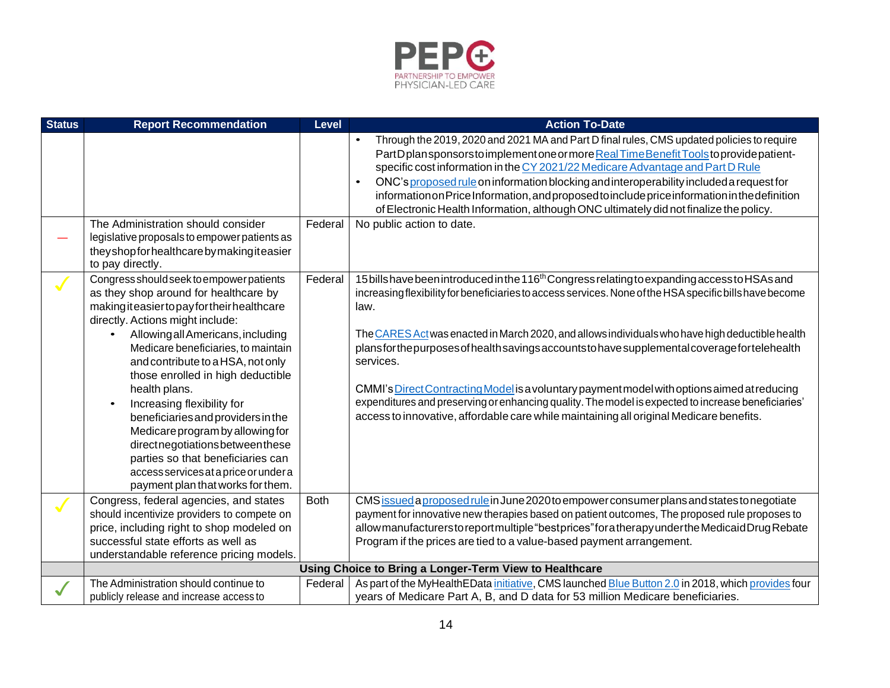

| <b>Status</b> | <b>Report Recommendation</b>                                                                                                                                                                                                                                                                                                                                                                                                                                                                                                                                                                       | Level       | <b>Action To-Date</b>                                                                                                                                                                                                                                                                                                                                                                                                                                                                                                                                                                                                                                                                                                                      |  |  |
|---------------|----------------------------------------------------------------------------------------------------------------------------------------------------------------------------------------------------------------------------------------------------------------------------------------------------------------------------------------------------------------------------------------------------------------------------------------------------------------------------------------------------------------------------------------------------------------------------------------------------|-------------|--------------------------------------------------------------------------------------------------------------------------------------------------------------------------------------------------------------------------------------------------------------------------------------------------------------------------------------------------------------------------------------------------------------------------------------------------------------------------------------------------------------------------------------------------------------------------------------------------------------------------------------------------------------------------------------------------------------------------------------------|--|--|
|               | The Administration should consider                                                                                                                                                                                                                                                                                                                                                                                                                                                                                                                                                                 | Federal     | Through the 2019, 2020 and 2021 MA and Part D final rules, CMS updated policies to require<br>$\bullet$<br>PartDplansponsorstoimplementone or more Real Time Benefit Tools to provide patient-<br>specific cost information in the CY 2021/22 Medicare Advantage and Part D Rule<br>ONC's proposed rule on information blocking and interoperability included a request for<br>$\bullet$<br>information on Price Information, and proposed to include price information in the definition<br>of Electronic Health Information, although ONC ultimately didnot finalize the policy.<br>No public action to date.                                                                                                                            |  |  |
|               | legislative proposals to empower patients as<br>theyshopforhealthcarebymakingiteasier<br>to pay directly.                                                                                                                                                                                                                                                                                                                                                                                                                                                                                          |             |                                                                                                                                                                                                                                                                                                                                                                                                                                                                                                                                                                                                                                                                                                                                            |  |  |
|               | Congress should seek to empower patients<br>as they shop around for healthcare by<br>makingiteasiertopayfortheirhealthcare<br>directly. Actions might include:<br>Allowing all Americans, including<br>Medicare beneficiaries, to maintain<br>and contribute to a HSA, not only<br>those enrolled in high deductible<br>health plans.<br>Increasing flexibility for<br>beneficiaries and providers in the<br>Medicare program by allowing for<br>directnegotiationsbetweenthese<br>parties so that beneficiaries can<br>access services at a price or under a<br>payment plan that works for them. | Federal     | 15 bills have been introduced in the 116 <sup>th</sup> Congress relating to expanding access to HSAs and<br>increasing flexibility for beneficiaries to access services. None of the HSA specific bills have become<br>law.<br>The CARES Act was enacted in March 2020, and allows individuals who have high deductible health<br>plansforthepurposes of health savings accounts to have supplemental coverage for telehealth<br>services.<br>CMMI's Direct Contracting Model is a voluntary payment model with options aimed at reducing<br>expenditures and preserving or enhancing quality. The model is expected to increase beneficiaries'<br>access to innovative, affordable care while maintaining all original Medicare benefits. |  |  |
|               | Congress, federal agencies, and states<br>should incentivize providers to compete on<br>price, including right to shop modeled on<br>successful state efforts as well as<br>understandable reference pricing models.                                                                                                                                                                                                                                                                                                                                                                               | <b>Both</b> | CMS issued a proposed rule in June 2020 to empower consumer plans and states to negotiate<br>payment for innovative new therapies based on patient outcomes, The proposed rule proposes to<br>allow manufacturers to report multiple "best prices" for a therapy under the Medicaid Drug Rebate<br>Program if the prices are tied to a value-based payment arrangement.                                                                                                                                                                                                                                                                                                                                                                    |  |  |
|               | Using Choice to Bring a Longer-Term View to Healthcare                                                                                                                                                                                                                                                                                                                                                                                                                                                                                                                                             |             |                                                                                                                                                                                                                                                                                                                                                                                                                                                                                                                                                                                                                                                                                                                                            |  |  |
|               | The Administration should continue to<br>publicly release and increase access to                                                                                                                                                                                                                                                                                                                                                                                                                                                                                                                   | Federal     | As part of the MyHealthEData initiative, CMS launched Blue Button 2.0 in 2018, which provides four<br>years of Medicare Part A, B, and D data for 53 million Medicare beneficiaries.                                                                                                                                                                                                                                                                                                                                                                                                                                                                                                                                                       |  |  |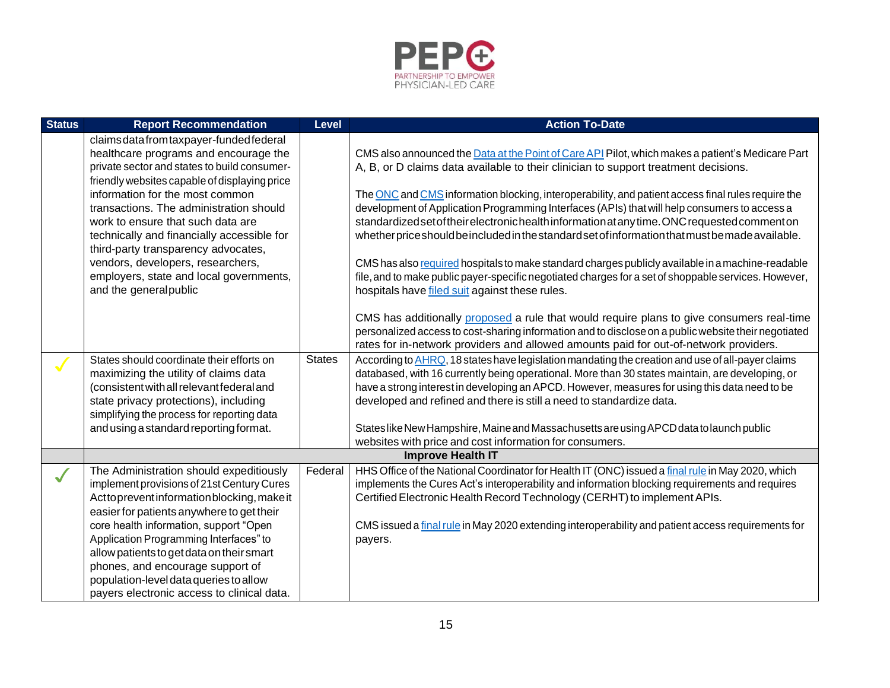

| <b>Status</b> | <b>Report Recommendation</b>                                                                                                                                                                                                                                     | <b>Level</b>  | <b>Action To-Date</b>                                                                                                                                                                                                                                                                                                                                                                                                                                                     |  |  |
|---------------|------------------------------------------------------------------------------------------------------------------------------------------------------------------------------------------------------------------------------------------------------------------|---------------|---------------------------------------------------------------------------------------------------------------------------------------------------------------------------------------------------------------------------------------------------------------------------------------------------------------------------------------------------------------------------------------------------------------------------------------------------------------------------|--|--|
|               | claims data from taxpayer-funded federal<br>healthcare programs and encourage the<br>private sector and states to build consumer-<br>friendly websites capable of displaying price                                                                               |               | CMS also announced the Data at the Point of Care API Pilot, which makes a patient's Medicare Part<br>A, B, or D claims data available to their clinician to support treatment decisions.                                                                                                                                                                                                                                                                                  |  |  |
|               | information for the most common<br>transactions. The administration should<br>work to ensure that such data are<br>technically and financially accessible for<br>third-party transparency advocates,                                                             |               | The ONC and CMS information blocking, interoperability, and patient access final rules require the<br>development of Application Programming Interfaces (APIs) that will help consumers to access a<br>standardized set of their electronic health information at any time. ONC requested comment on<br>whether price should be included in the standard set of information that must be made available.                                                                  |  |  |
|               | vendors, developers, researchers,<br>employers, state and local governments,<br>and the general public                                                                                                                                                           |               | CMS has also required hospitals to make standard charges publicly available in a machine-readable<br>file, and to make public payer-specific negotiated charges for a set of shoppable services. However,<br>hospitals have filed suit against these rules.                                                                                                                                                                                                               |  |  |
|               |                                                                                                                                                                                                                                                                  |               | CMS has additionally proposed a rule that would require plans to give consumers real-time<br>personalized access to cost-sharing information and to disclose on a public website their negotiated<br>rates for in-network providers and allowed amounts paid for out-of-network providers.                                                                                                                                                                                |  |  |
| $\sqrt{}$     | States should coordinate their efforts on<br>maximizing the utility of claims data<br>(consistent with all relevant federal and<br>state privacy protections), including<br>simplifying the process for reporting data<br>and using a standard reporting format. | <b>States</b> | According to AHRQ, 18 states have legislation mandating the creation and use of all-payer claims<br>databased, with 16 currently being operational. More than 30 states maintain, are developing, or<br>have a strong interest in developing an APCD. However, measures for using this data need to be<br>developed and refined and there is still a need to standardize data.<br>States like New Hampshire, Maine and Massachusetts are using APCD data to launch public |  |  |
|               |                                                                                                                                                                                                                                                                  |               | websites with price and cost information for consumers.                                                                                                                                                                                                                                                                                                                                                                                                                   |  |  |
|               | <b>Improve Health IT</b>                                                                                                                                                                                                                                         |               |                                                                                                                                                                                                                                                                                                                                                                                                                                                                           |  |  |
|               | The Administration should expeditiously<br>implement provisions of 21st Century Cures<br>Acttopreventinformationblocking, make it<br>easier for patients anywhere to get their                                                                                   | Federal       | HHS Office of the National Coordinator for Health IT (ONC) issued a final rule in May 2020, which<br>implements the Cures Act's interoperability and information blocking requirements and requires<br>Certified Electronic Health Record Technology (CERHT) to implement APIs.                                                                                                                                                                                           |  |  |
|               | core health information, support "Open<br>Application Programming Interfaces" to<br>allow patients to get data on their smart<br>phones, and encourage support of<br>population-level data queries to allow<br>payers electronic access to clinical data.        |               | CMS issued a final rule in May 2020 extending interoperability and patient access requirements for<br>payers.                                                                                                                                                                                                                                                                                                                                                             |  |  |